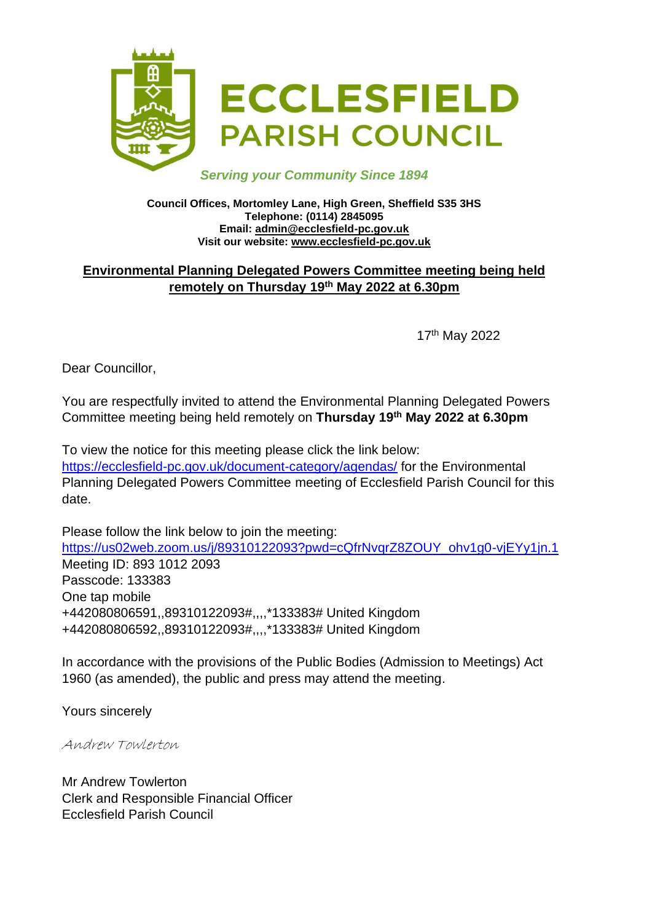

#### *Serving your Community Since 1894*

#### **Council Offices, Mortomley Lane, High Green, Sheffield S35 3HS Telephone: (0114) 2845095 Email: admin@ecclesfield-pc.gov.uk Visit our website: www.ecclesfield-pc.gov.uk**

### **Environmental Planning Delegated Powers Committee meeting being held remotely on Thursday 19th May 2022 at 6.30pm**

17th May 2022

Dear Councillor,

You are respectfully invited to attend the Environmental Planning Delegated Powers Committee meeting being held remotely on **Thursday 19th May 2022 at 6.30pm**

To view the notice for this meeting please click the link below: <https://ecclesfield-pc.gov.uk/document-category/agendas/> for the Environmental Planning Delegated Powers Committee meeting of Ecclesfield Parish Council for this date.

Please follow the link below to join the meeting: [https://us02web.zoom.us/j/89310122093?pwd=cQfrNvqrZ8ZOUY\\_ohv1g0-vjEYy1jn.1](https://us02web.zoom.us/j/89310122093?pwd=cQfrNvqrZ8ZOUY_ohv1g0-vjEYy1jn.1) Meeting ID: 893 1012 2093 Passcode: 133383 One tap mobile +442080806591,,89310122093#,,,,\*133383# United Kingdom +442080806592,,89310122093#,,,,\*133383# United Kingdom

In accordance with the provisions of the Public Bodies (Admission to Meetings) Act 1960 (as amended), the public and press may attend the meeting.

Yours sincerely

Andrew Towlerton

Mr Andrew Towlerton Clerk and Responsible Financial Officer Ecclesfield Parish Council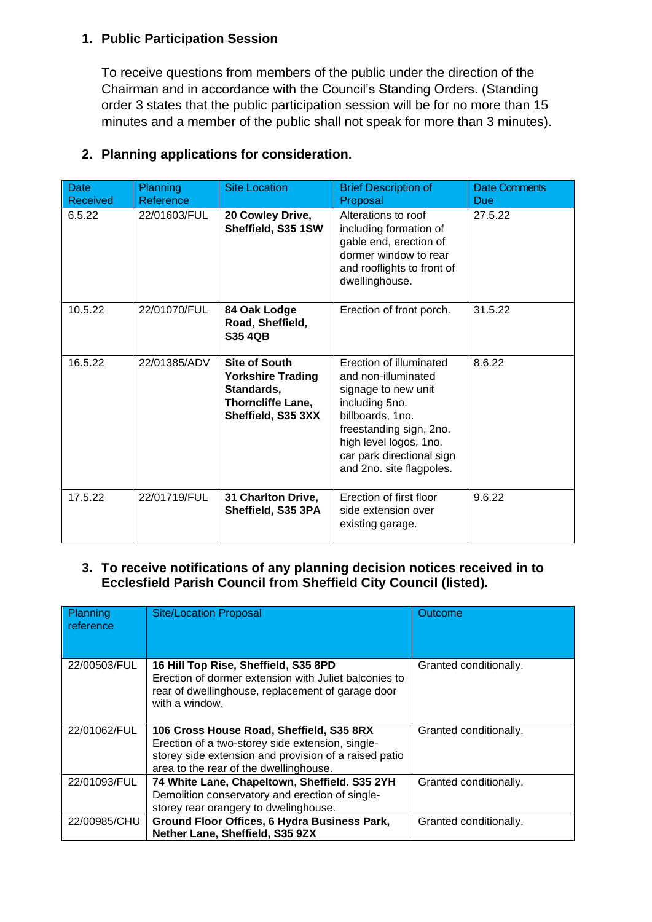#### **1. Public Participation Session**

To receive questions from members of the public under the direction of the Chairman and in accordance with the Council's Standing Orders. (Standing order 3 states that the public participation session will be for no more than 15 minutes and a member of the public shall not speak for more than 3 minutes).

| <b>Date</b><br>Received | Planning<br>Reference | <b>Site Location</b>                                                                                      | <b>Brief Description of</b><br>Proposal                                                                                                                                                                                   | <b>Date Comments</b><br>Due |
|-------------------------|-----------------------|-----------------------------------------------------------------------------------------------------------|---------------------------------------------------------------------------------------------------------------------------------------------------------------------------------------------------------------------------|-----------------------------|
| 6.5.22                  | 22/01603/FUL          | 20 Cowley Drive,<br>Sheffield, S35 1SW                                                                    | Alterations to roof<br>including formation of<br>gable end, erection of<br>dormer window to rear<br>and rooflights to front of<br>dwellinghouse.                                                                          | 27.5.22                     |
| 10.5.22                 | 22/01070/FUL          | 84 Oak Lodge<br>Road, Sheffield,<br><b>S35 4QB</b>                                                        | Erection of front porch.                                                                                                                                                                                                  | 31.5.22                     |
| 16.5.22                 | 22/01385/ADV          | <b>Site of South</b><br><b>Yorkshire Trading</b><br>Standards,<br>Thorncliffe Lane,<br>Sheffield, S35 3XX | Erection of illuminated<br>and non-illuminated<br>signage to new unit<br>including 5no.<br>billboards, 1no.<br>freestanding sign, 2no.<br>high level logos, 1no.<br>car park directional sign<br>and 2no. site flagpoles. | 8.6.22                      |
| 17.5.22                 | 22/01719/FUL          | 31 Charlton Drive,<br>Sheffield, S35 3PA                                                                  | Erection of first floor<br>side extension over<br>existing garage.                                                                                                                                                        | 9.6.22                      |

# **2. Planning applications for consideration.**

#### **3. To receive notifications of any planning decision notices received in to Ecclesfield Parish Council from Sheffield City Council (listed).**

| Planning<br>reference | <b>Site/Location Proposal</b>                                                                                                                                                                   | Outcome                |
|-----------------------|-------------------------------------------------------------------------------------------------------------------------------------------------------------------------------------------------|------------------------|
| 22/00503/FUL          | 16 Hill Top Rise, Sheffield, S35 8PD<br>Erection of dormer extension with Juliet balconies to<br>rear of dwellinghouse, replacement of garage door<br>with a window.                            | Granted conditionally. |
| 22/01062/FUL          | 106 Cross House Road, Sheffield, S35 8RX<br>Erection of a two-storey side extension, single-<br>storey side extension and provision of a raised patio<br>area to the rear of the dwellinghouse. | Granted conditionally. |
| 22/01093/FUL          | 74 White Lane, Chapeltown, Sheffield. S35 2YH<br>Demolition conservatory and erection of single-<br>storey rear orangery to dwelinghouse.                                                       | Granted conditionally. |
| 22/00985/CHU          | Ground Floor Offices, 6 Hydra Business Park,<br>Nether Lane, Sheffield, S35 9ZX                                                                                                                 | Granted conditionally. |